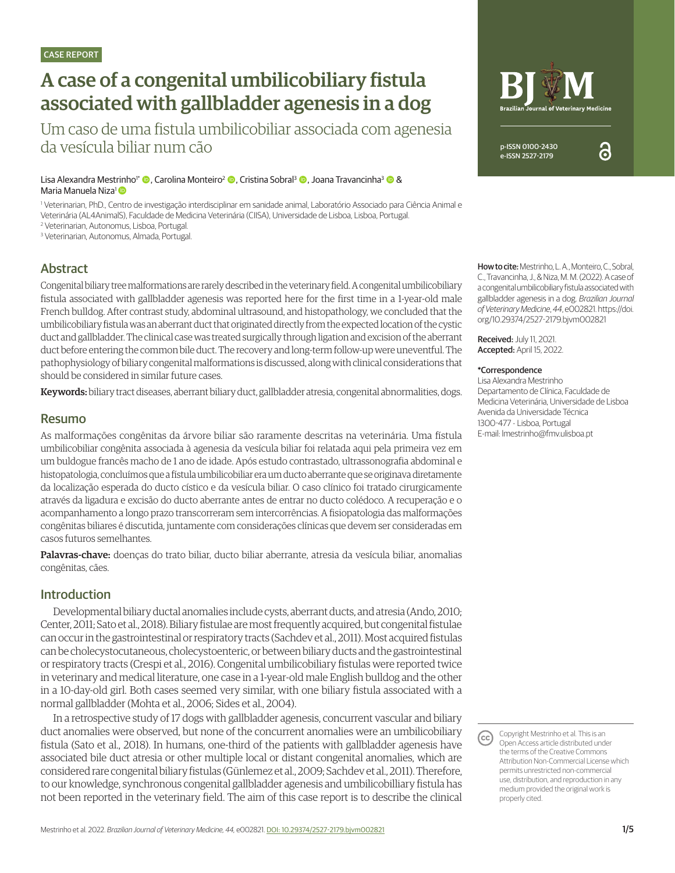# A case of a congenital umbilicobiliary fistula associated with gallbladder agenesis in a dog

Um caso de uma fistula umbilicobiliar associada com agenesia da vesícula biliar num cão

Lisa Alexandra Mestrinho<sup>i\*</sup> (**D**, Carolina Monteiro<sup>2</sup> (**D**, Cristina Sobral<sup>3</sup> **O**, Joana Travancinha<sup>3</sup> **@** & Maria Manuela Niza1

1 Veterinarian, PhD., Centro de investigação interdisciplinar em sanidade animal, Laboratório Associado para Ciência Animal e Veterinária (AL4AnimalS), Faculdade de Medicina Veterinária (CIISA), Universidade de Lisboa, Lisboa, Portugal.

2 Veterinarian, Autonomus, Lisboa, Portugal.

3 Veterinarian, Autonomus, Almada, Portugal.

## Abstract

Congenital biliary tree malformations are rarely described in the veterinary field. A congenital umbilicobiliary fistula associated with gallbladder agenesis was reported here for the first time in a 1-year-old male French bulldog. After contrast study, abdominal ultrasound, and histopathology, we concluded that the umbilicobiliary fistula was an aberrant duct that originated directly from the expected location of the cystic duct and gallbladder. The clinical case was treated surgically through ligation and excision of the aberrant duct before entering the common bile duct. The recovery and long-term follow-up were uneventful. The pathophysiology of biliary congenital malformations is discussed, along with clinical considerations that should be considered in similar future cases.

Keywords: biliary tract diseases, aberrant biliary duct, gallbladder atresia, congenital abnormalities, dogs.

### Resumo

As malformações congênitas da árvore biliar são raramente descritas na veterinária. Uma fístula umbilicobiliar congênita associada à agenesia da vesícula biliar foi relatada aqui pela primeira vez em um buldogue francês macho de 1 ano de idade. Após estudo contrastado, ultrassonografia abdominal e histopatologia, concluímos que a fístula umbilicobiliar era um ducto aberrante que se originava diretamente da localização esperada do ducto cístico e da vesícula biliar. O caso clínico foi tratado cirurgicamente através da ligadura e excisão do ducto aberrante antes de entrar no ducto colédoco. A recuperação e o acompanhamento a longo prazo transcorreram sem intercorrências. A fisiopatologia das malformações congênitas biliares é discutida, juntamente com considerações clínicas que devem ser consideradas em casos futuros semelhantes.

Palavras-chave: doenças do trato biliar, ducto biliar aberrante, atresia da vesícula biliar, anomalias congênitas, cães.

#### Introduction

Developmental biliary ductal anomalies include cysts, aberrant ducts, and atresia (Ando, 2010; Center, 2011; Sato et al., 2018). Biliary fistulae are most frequently acquired, but congenital fistulae can occur in the gastrointestinal or respiratory tracts (Sachdev et al., 2011). Most acquired fistulas can be cholecystocutaneous, cholecystoenteric, or between biliary ducts and the gastrointestinal or respiratory tracts (Crespi et al., 2016). Congenital umbilicobiliary fistulas were reported twice in veterinary and medical literature, one case in a 1-year-old male English bulldog and the other in a 10-day-old girl. Both cases seemed very similar, with one biliary fistula associated with a normal gallbladder (Mohta et al., 2006; Sides et al., 2004).

In a retrospective study of 17 dogs with gallbladder agenesis, concurrent vascular and biliary duct anomalies were observed, but none of the concurrent anomalies were an umbilicobiliary fistula (Sato et al., 2018). In humans, one-third of the patients with gallbladder agenesis have associated bile duct atresia or other multiple local or distant congenital anomalies, which are considered rare congenital biliary fistulas (Günlemez et al., 2009; Sachdev et al., 2011). Therefore, to our knowledge, synchronous congenital gallbladder agenesis and umbilicobilliary fistula has not been reported in the veterinary field. The aim of this case report is to describe the clinical



How to cite: Mestrinho, L. A., Monteiro, C., Sobral, C., Travancinha, J., & Niza, M. M. (2022). A case of a congenital umbilicobiliary fistula associated with gallbladder agenesis in a dog. *Brazilian Journal of Veterinary Medicine*, *44*, e002821. https://doi. org/10.29374/2527-2179.bjvm002821

Received: July 11, 2021. Accepted: April 15, 2022.

#### \*Correspondence

Lisa Alexandra Mestrinho Departamento de Clínica, Faculdade de Medicina Veterinária, Universidade de Lisboa Avenida da Universidade Técnica 1300-477 - Lisboa, Portugal E-mail: lmestrinho@fmv.ulisboa.pt

Copyright Mestrinho et al. This is an (cc) Open Access article distributed under the terms of the Creative Commons Attribution Non-Commercial License which permits unrestricted non-commercial use, distribution, and reproduction in any medium provided the original work is properly cited.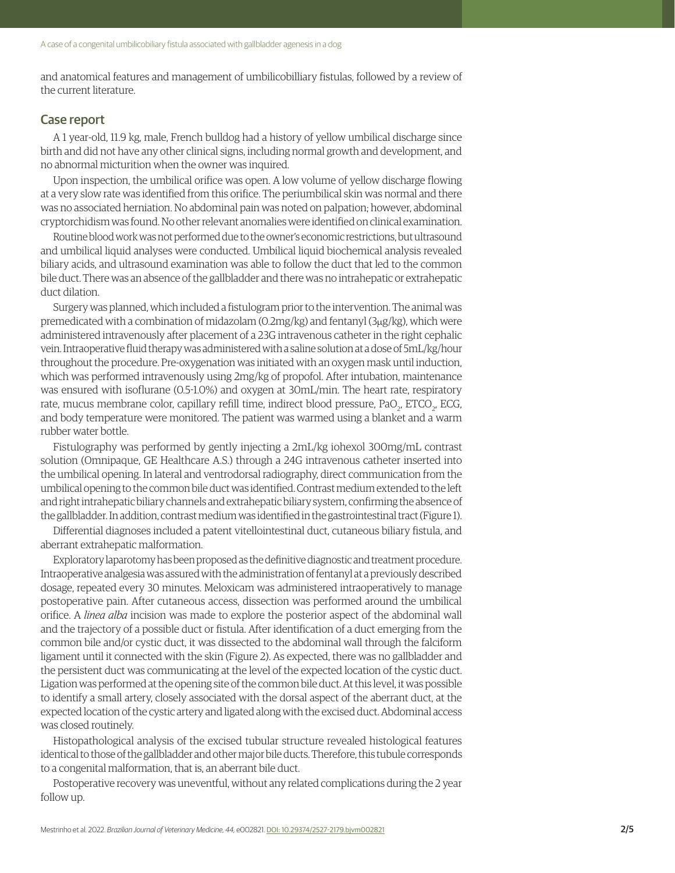and anatomical features and management of umbilicobilliary fistulas, followed by a review of the current literature.

#### Case report

A 1 year-old, 11.9 kg, male, French bulldog had a history of yellow umbilical discharge since birth and did not have any other clinical signs, including normal growth and development, and no abnormal micturition when the owner was inquired.

Upon inspection, the umbilical orifice was open. A low volume of yellow discharge flowing at a very slow rate was identified from this orifice. The periumbilical skin was normal and there was no associated herniation. No abdominal pain was noted on palpation; however, abdominal cryptorchidism was found. No other relevant anomalies were identified on clinical examination.

Routine blood work was not performed due to the owner's economic restrictions, but ultrasound and umbilical liquid analyses were conducted. Umbilical liquid biochemical analysis revealed biliary acids, and ultrasound examination was able to follow the duct that led to the common bile duct. There was an absence of the gallbladder and there was no intrahepatic or extrahepatic duct dilation.

Surgery was planned, which included a fistulogram prior to the intervention. The animal was premedicated with a combination of midazolam (0.2mg/kg) and fentanyl (3μg/kg), which were administered intravenously after placement of a 23G intravenous catheter in the right cephalic vein. Intraoperative fluid therapy was administered with a saline solution at a dose of 5mL/kg/hour throughout the procedure. Pre-oxygenation was initiated with an oxygen mask until induction, which was performed intravenously using 2mg/kg of propofol. After intubation, maintenance was ensured with isoflurane (0.5-1.0%) and oxygen at 30mL/min. The heart rate, respiratory rate, mucus membrane color, capillary refill time, indirect blood pressure, PaO<sub>2</sub>, ETCO<sub>2</sub>, ECG, and body temperature were monitored. The patient was warmed using a blanket and a warm rubber water bottle.

Fistulography was performed by gently injecting a 2mL/kg iohexol 300mg/mL contrast solution (Omnipaque, GE Healthcare A.S.) through a 24G intravenous catheter inserted into the umbilical opening. In lateral and ventrodorsal radiography, direct communication from the umbilical opening to the common bile duct was identified. Contrast medium extended to the left and right intrahepatic biliary channels and extrahepatic biliary system, confirming the absence of the gallbladder. In addition, contrast medium was identified in the gastrointestinal tract (Figure 1).

Differential diagnoses included a patent vitellointestinal duct, cutaneous biliary fistula, and aberrant extrahepatic malformation.

Exploratory laparotomy has been proposed as the definitive diagnostic and treatment procedure. Intraoperative analgesia was assured with the administration of fentanyl at a previously described dosage, repeated every 30 minutes. Meloxicam was administered intraoperatively to manage postoperative pain. After cutaneous access, dissection was performed around the umbilical orifice. A *linea alba* incision was made to explore the posterior aspect of the abdominal wall and the trajectory of a possible duct or fistula. After identification of a duct emerging from the common bile and/or cystic duct, it was dissected to the abdominal wall through the falciform ligament until it connected with the skin (Figure 2). As expected, there was no gallbladder and the persistent duct was communicating at the level of the expected location of the cystic duct. Ligation was performed at the opening site of the common bile duct. At this level, it was possible to identify a small artery, closely associated with the dorsal aspect of the aberrant duct, at the expected location of the cystic artery and ligated along with the excised duct. Abdominal access was closed routinely.

Histopathological analysis of the excised tubular structure revealed histological features identical to those of the gallbladder and other major bile ducts. Therefore, this tubule corresponds to a congenital malformation, that is, an aberrant bile duct.

Postoperative recovery was uneventful, without any related complications during the 2 year follow up.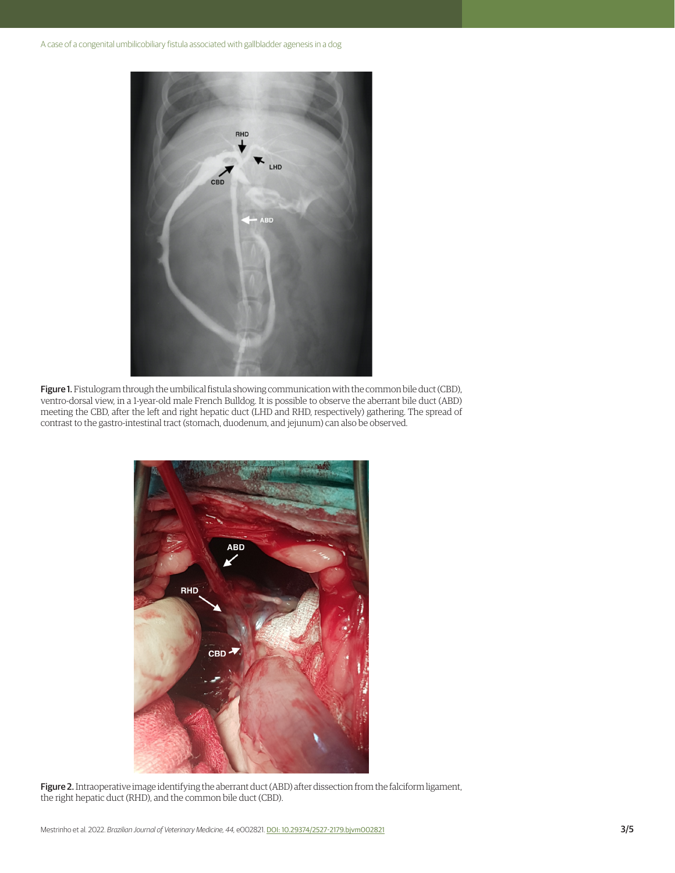

Figure 1. Fistulogram through the umbilical fistula showing communication with the common bile duct (CBD), ventro-dorsal view, in a 1-year-old male French Bulldog. It is possible to observe the aberrant bile duct (ABD) meeting the CBD, after the left and right hepatic duct (LHD and RHD, respectively) gathering. The spread of contrast to the gastro-intestinal tract (stomach, duodenum, and jejunum) can also be observed.



Figure 2. Intraoperative image identifying the aberrant duct (ABD) after dissection from the falciform ligament, the right hepatic duct (RHD), and the common bile duct (CBD).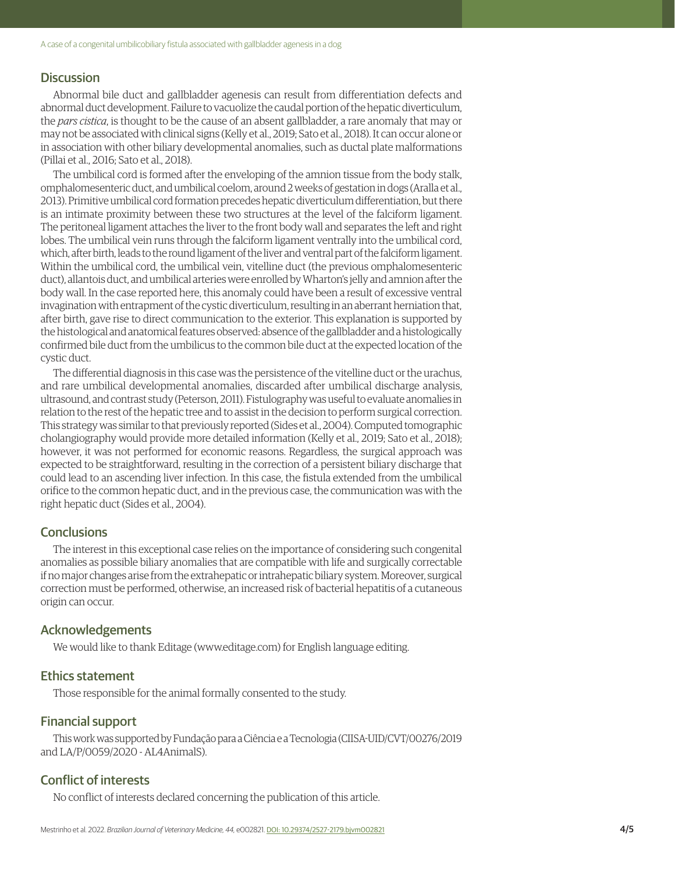#### **Discussion**

Abnormal bile duct and gallbladder agenesis can result from differentiation defects and abnormal duct development. Failure to vacuolize the caudal portion of the hepatic diverticulum, the *pars cistica*, is thought to be the cause of an absent gallbladder, a rare anomaly that may or may not be associated with clinical signs (Kelly et al., 2019; Sato et al., 2018). It can occur alone or in association with other biliary developmental anomalies, such as ductal plate malformations (Pillai et al., 2016; Sato et al., 2018).

The umbilical cord is formed after the enveloping of the amnion tissue from the body stalk, omphalomesenteric duct, and umbilical coelom, around 2 weeks of gestation in dogs (Aralla et al., 2013). Primitive umbilical cord formation precedes hepatic diverticulum differentiation, but there is an intimate proximity between these two structures at the level of the falciform ligament. The peritoneal ligament attaches the liver to the front body wall and separates the left and right lobes. The umbilical vein runs through the falciform ligament ventrally into the umbilical cord, which, after birth, leads to the round ligament of the liver and ventral part of the falciform ligament. Within the umbilical cord, the umbilical vein, vitelline duct (the previous omphalomesenteric duct), allantois duct, and umbilical arteries were enrolled by Wharton's jelly and amnion after the body wall. In the case reported here, this anomaly could have been a result of excessive ventral invagination with entrapment of the cystic diverticulum, resulting in an aberrant herniation that, after birth, gave rise to direct communication to the exterior. This explanation is supported by the histological and anatomical features observed: absence of the gallbladder and a histologically confirmed bile duct from the umbilicus to the common bile duct at the expected location of the cystic duct.

The differential diagnosis in this case was the persistence of the vitelline duct or the urachus, and rare umbilical developmental anomalies, discarded after umbilical discharge analysis, ultrasound, and contrast study (Peterson, 2011). Fistulography was useful to evaluate anomalies in relation to the rest of the hepatic tree and to assist in the decision to perform surgical correction. This strategy was similar to that previously reported (Sides et al., 2004). Computed tomographic cholangiography would provide more detailed information (Kelly et al., 2019; Sato et al., 2018); however, it was not performed for economic reasons. Regardless, the surgical approach was expected to be straightforward, resulting in the correction of a persistent biliary discharge that could lead to an ascending liver infection. In this case, the fistula extended from the umbilical orifice to the common hepatic duct, and in the previous case, the communication was with the right hepatic duct (Sides et al., 2004).

#### **Conclusions**

The interest in this exceptional case relies on the importance of considering such congenital anomalies as possible biliary anomalies that are compatible with life and surgically correctable if no major changes arise from the extrahepatic or intrahepatic biliary system. Moreover, surgical correction must be performed, otherwise, an increased risk of bacterial hepatitis of a cutaneous origin can occur.

#### Acknowledgements

We would like to thank Editage (www.editage.com) for English language editing.

### Ethics statement

Those responsible for the animal formally consented to the study.

#### Financial support

This work was supported by Fundação para a Ciência e a Tecnologia (CIISA-UID/CVT/00276/2019 and LA/P/0059/2020 - AL4AnimalS).

#### Conflict of interests

No conflict of interests declared concerning the publication of this article.